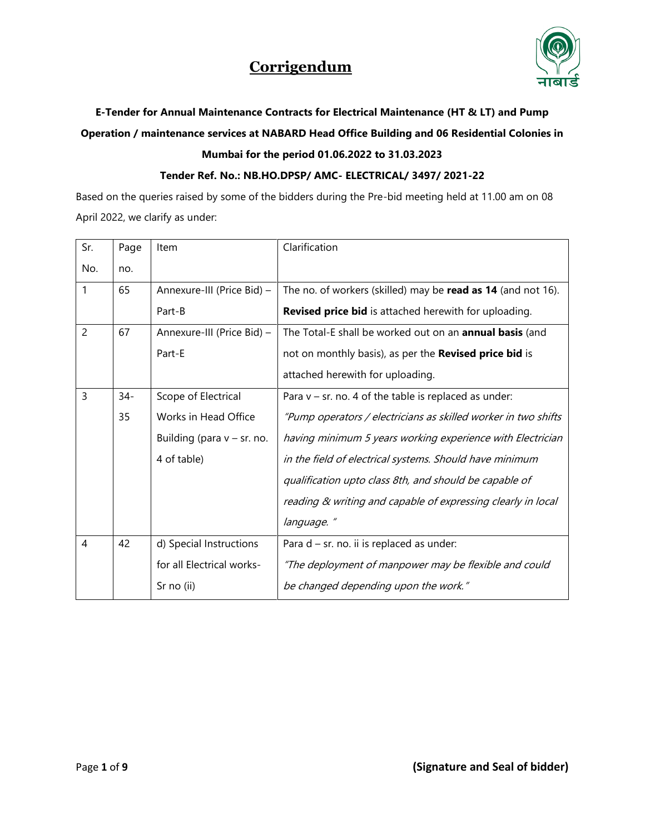

### **E-Tender for Annual Maintenance Contracts for Electrical Maintenance (HT & LT) and Pump Operation / maintenance services at NABARD Head Office Building and 06 Residential Colonies in Mumbai for the period 01.06.2022 to 31.03.2023**

#### **Tender Ref. No.: NB.HO.DPSP/ AMC- ELECTRICAL/ 3497/ 2021-22**

Based on the queries raised by some of the bidders during the Pre-bid meeting held at 11.00 am on 08 April 2022, we clarify as under:

| Sr.            | Page   | Item                          | Clarification                                                  |
|----------------|--------|-------------------------------|----------------------------------------------------------------|
| No.            | no.    |                               |                                                                |
| $\mathbf{1}$   | 65     | Annexure-III (Price Bid) -    | The no. of workers (skilled) may be read as 14 (and not 16).   |
|                |        | Part-B                        | <b>Revised price bid</b> is attached herewith for uploading.   |
| $\overline{2}$ | 67     | Annexure-III (Price Bid) -    | The Total-E shall be worked out on an <b>annual basis</b> (and |
|                |        | Part-E                        | not on monthly basis), as per the Revised price bid is         |
|                |        |                               | attached herewith for uploading.                               |
| 3              | $34 -$ | Scope of Electrical           | Para $v$ – sr. no. 4 of the table is replaced as under:        |
|                | 35     | Works in Head Office          | "Pump operators / electricians as skilled worker in two shifts |
|                |        | Building (para $v - sr$ . no. | having minimum 5 years working experience with Electrician     |
|                |        | 4 of table)                   | in the field of electrical systems. Should have minimum        |
|                |        |                               | qualification upto class 8th, and should be capable of         |
|                |        |                               | reading & writing and capable of expressing clearly in local   |
|                |        |                               | language."                                                     |
| $\overline{4}$ | 42     | d) Special Instructions       | Para $d - sr$ . no. ii is replaced as under:                   |
|                |        | for all Electrical works-     | "The deployment of manpower may be flexible and could          |
|                |        | Sr no (ii)                    | be changed depending upon the work."                           |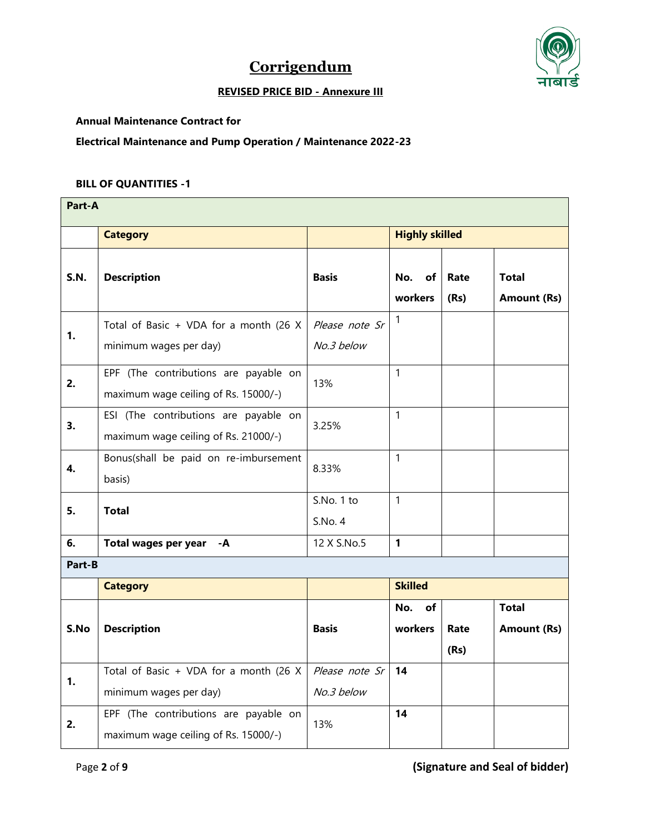



#### **REVISED PRICE BID - Annexure III**

#### **Annual Maintenance Contract for**

**Electrical Maintenance and Pump Operation / Maintenance 2022-23**

#### **BILL OF QUANTITIES -1**

| Part-A      |                                                                               |                              |                       |              |                                    |  |
|-------------|-------------------------------------------------------------------------------|------------------------------|-----------------------|--------------|------------------------------------|--|
|             | <b>Category</b>                                                               |                              | <b>Highly skilled</b> |              |                                    |  |
| <b>S.N.</b> | <b>Description</b>                                                            | <b>Basis</b>                 | No.<br>of<br>workers  | Rate<br>(Rs) | <b>Total</b><br><b>Amount (Rs)</b> |  |
| 1.          | Total of Basic + VDA for a month (26 X<br>minimum wages per day)              | Please note Sr<br>No.3 below | $\mathbf{1}$          |              |                                    |  |
| 2.          | EPF (The contributions are payable on<br>maximum wage ceiling of Rs. 15000/-) | 13%                          | $\mathbf{1}$          |              |                                    |  |
| 3.          | ESI (The contributions are payable on<br>maximum wage ceiling of Rs. 21000/-) | 3.25%                        | $\mathbf{1}$          |              |                                    |  |
| 4.          | Bonus(shall be paid on re-imbursement<br>basis)                               | 8.33%                        | $\mathbf{1}$          |              |                                    |  |
| 5.          | <b>Total</b>                                                                  | S.No. 1 to<br>S.No. 4        | $\mathbf{1}$          |              |                                    |  |
| 6.          | Total wages per year<br>-A                                                    | 12 X S.No.5                  | $\mathbf{1}$          |              |                                    |  |
| Part-B      |                                                                               |                              |                       |              |                                    |  |
|             | <b>Category</b>                                                               |                              | <b>Skilled</b>        |              |                                    |  |
| S.No        | <b>Description</b>                                                            | <b>Basis</b>                 | No.<br>of<br>workers  | Rate<br>(Rs) | <b>Total</b><br><b>Amount (Rs)</b> |  |
| 1.          | Total of Basic + VDA for a month (26 X<br>minimum wages per day)              | Please note Sr<br>No.3 below | 14                    |              |                                    |  |
| 2.          | EPF (The contributions are payable on<br>maximum wage ceiling of Rs. 15000/-) | 13%                          | 14                    |              |                                    |  |

Page **2** of **9 (Signature and Seal of bidder)**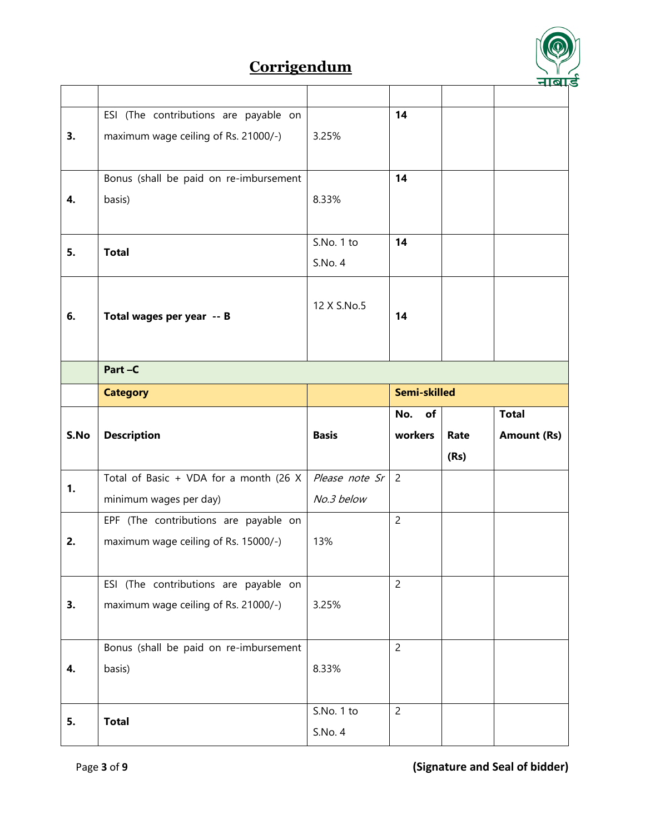

|      | ESI (The contributions are payable on  |                | 14             |      |                    |
|------|----------------------------------------|----------------|----------------|------|--------------------|
| 3.   | maximum wage ceiling of Rs. 21000/-)   | 3.25%          |                |      |                    |
|      |                                        |                |                |      |                    |
|      |                                        |                | 14             |      |                    |
|      | Bonus (shall be paid on re-imbursement |                |                |      |                    |
| 4.   | basis)                                 | 8.33%          |                |      |                    |
|      |                                        |                |                |      |                    |
|      |                                        | S.No. 1 to     | 14             |      |                    |
| 5.   | <b>Total</b>                           | S.No. 4        |                |      |                    |
|      |                                        |                |                |      |                    |
|      |                                        | 12 X S.No.5    |                |      |                    |
| 6.   | Total wages per year -- B              |                | 14             |      |                    |
|      |                                        |                |                |      |                    |
|      |                                        |                |                |      |                    |
|      | Part-C                                 |                |                |      |                    |
|      | <b>Category</b>                        |                | Semi-skilled   |      |                    |
|      |                                        |                |                |      |                    |
|      |                                        |                | No.<br>of      |      | <b>Total</b>       |
| S.No |                                        | <b>Basis</b>   | workers        | Rate |                    |
|      | <b>Description</b>                     |                |                |      | <b>Amount (Rs)</b> |
|      |                                        |                |                | (Rs) |                    |
| 1.   | Total of Basic + VDA for a month (26 X | Please note Sr | $\overline{2}$ |      |                    |
|      | minimum wages per day)                 | No.3 below     |                |      |                    |
|      | EPF (The contributions are payable on  |                | $\overline{2}$ |      |                    |
| 2.   | maximum wage ceiling of Rs. 15000/-)   | 13%            |                |      |                    |
|      |                                        |                |                |      |                    |
|      |                                        |                | $\overline{2}$ |      |                    |
|      | ESI (The contributions are payable on  |                |                |      |                    |
| 3.   | maximum wage ceiling of Rs. 21000/-)   | 3.25%          |                |      |                    |
|      |                                        |                |                |      |                    |
|      | Bonus (shall be paid on re-imbursement |                | $\overline{2}$ |      |                    |
| 4.   | basis)                                 | 8.33%          |                |      |                    |
|      |                                        |                |                |      |                    |
|      |                                        | S.No. 1 to     | $\overline{c}$ |      |                    |
| 5.   | <b>Total</b>                           | S.No. 4        |                |      |                    |

Page **3** of **9 (Signature and Seal of bidder)**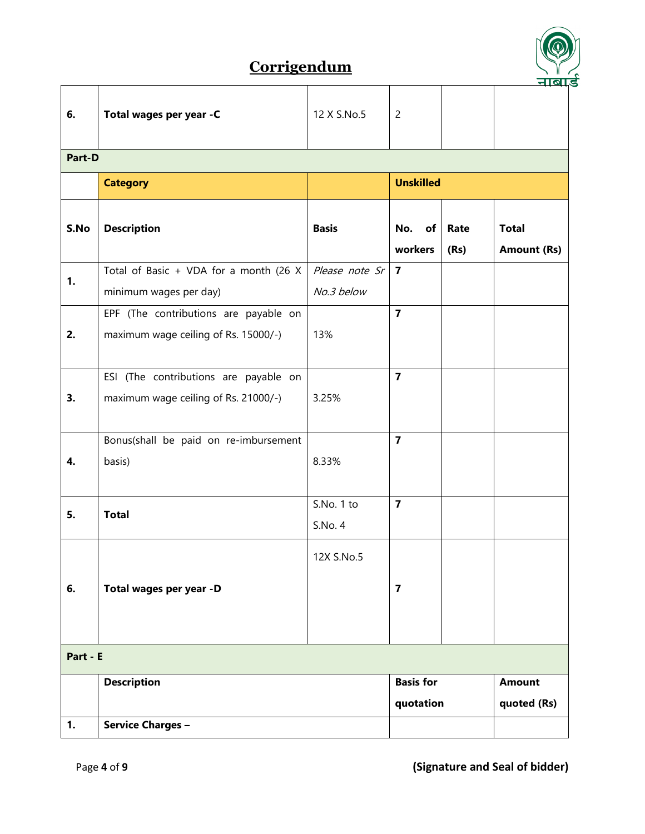

|          |                                                                               |                       |                         |              | <u> नाषा</u>                       |  |  |  |
|----------|-------------------------------------------------------------------------------|-----------------------|-------------------------|--------------|------------------------------------|--|--|--|
| 6.       | Total wages per year -C                                                       | 12 X S.No.5           | $\overline{c}$          |              |                                    |  |  |  |
| Part-D   |                                                                               |                       |                         |              |                                    |  |  |  |
|          | <b>Category</b>                                                               | <b>Unskilled</b>      |                         |              |                                    |  |  |  |
| S.No     | <b>Description</b>                                                            | <b>Basis</b>          | No.<br>of<br>workers    | Rate<br>(Rs) | <b>Total</b><br><b>Amount (Rs)</b> |  |  |  |
| 1.       | Total of Basic + VDA for a month (26 X                                        | Please note Sr        | $\overline{7}$          |              |                                    |  |  |  |
|          | minimum wages per day)                                                        | No.3 below            |                         |              |                                    |  |  |  |
| 2.       | EPF (The contributions are payable on<br>maximum wage ceiling of Rs. 15000/-) | 13%                   | $\overline{7}$          |              |                                    |  |  |  |
| 3.       | ESI (The contributions are payable on<br>maximum wage ceiling of Rs. 21000/-) | 3.25%                 | $\overline{7}$          |              |                                    |  |  |  |
|          | Bonus(shall be paid on re-imbursement                                         |                       | $\overline{7}$          |              |                                    |  |  |  |
| 4.       | basis)                                                                        | 8.33%                 |                         |              |                                    |  |  |  |
| 5.       | <b>Total</b>                                                                  | S.No. 1 to<br>S.No. 4 | $\overline{7}$          |              |                                    |  |  |  |
| 6.       | Total wages per year -D                                                       | 12X S.No.5            | $\overline{\mathbf{z}}$ |              |                                    |  |  |  |
| Part - E |                                                                               |                       |                         |              |                                    |  |  |  |
|          | <b>Description</b>                                                            |                       | <b>Basis for</b>        |              | <b>Amount</b>                      |  |  |  |
|          |                                                                               |                       | quotation               |              | quoted (Rs)                        |  |  |  |
| 1.       | <b>Service Charges -</b>                                                      |                       |                         |              |                                    |  |  |  |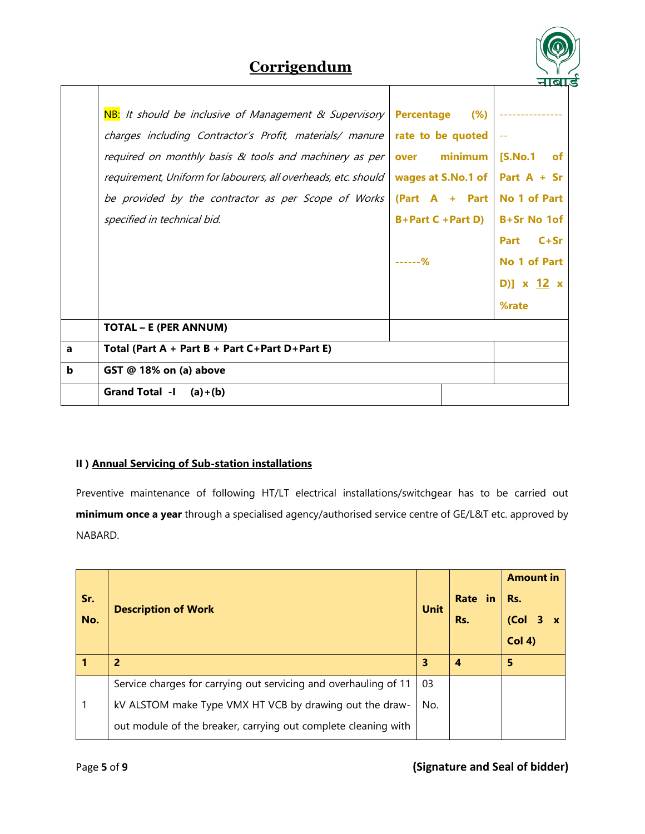

|   | NB: It should be inclusive of Management & Supervisory         | Percentage (%)      |                        |
|---|----------------------------------------------------------------|---------------------|------------------------|
|   | charges including Contractor's Profit, materials/ manure       | rate to be quoted   |                        |
|   | required on monthly basis $\&$ tools and machinery as per      | minimum<br>over     | [S.No.1<br>of <b>o</b> |
|   | requirement, Uniform for labourers, all overheads, etc. should | wages at S.No.1 of  | Part $A + Sr$          |
|   | be provided by the contractor as per Scope of Works            | $(Part A + Part$    | No 1 of Part           |
|   | specified in technical bid.                                    | $B+Part C + Part D$ | B+Sr No 1of            |
|   |                                                                |                     | Part<br>$C+Sr$         |
|   |                                                                | ------%             | No 1 of Part           |
|   |                                                                |                     | D)] $x \t12 x$         |
|   |                                                                |                     | %rate                  |
|   | <b>TOTAL - E (PER ANNUM)</b>                                   |                     |                        |
| a | Total (Part $A + Part B + Part C+Part D+Part E$ )              |                     |                        |
| b | GST @ 18% on (a) above                                         |                     |                        |
|   | Grand Total $-I$ (a) + (b)                                     |                     |                        |

#### **II ) Annual Servicing of Sub-station installations**

Preventive maintenance of following HT/LT electrical installations/switchgear has to be carried out **minimum once a year** through a specialised agency/authorised service centre of GE/L&T etc. approved by NABARD.

| Sr.<br>No. | <b>Description of Work</b>                                       | <b>Unit</b> | Rate in<br>Rs. | <b>Amount in</b><br>Rs.<br>(Col<br>Col(4) |
|------------|------------------------------------------------------------------|-------------|----------------|-------------------------------------------|
|            | 2                                                                | 3           | 4              | 5                                         |
|            | Service charges for carrying out servicing and overhauling of 11 | 03          |                |                                           |
|            | kV ALSTOM make Type VMX HT VCB by drawing out the draw-          | No.         |                |                                           |
|            | out module of the breaker, carrying out complete cleaning with   |             |                |                                           |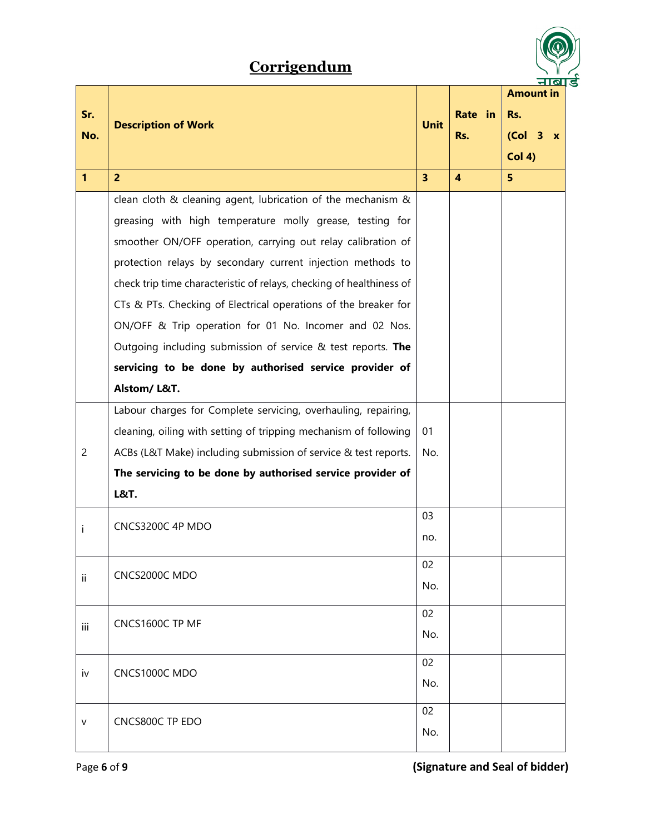

|                |                                                                      |                |                         | <b>Amount in</b>                    |
|----------------|----------------------------------------------------------------------|----------------|-------------------------|-------------------------------------|
| Sr.            |                                                                      |                | Rate in                 | Rs.                                 |
| No.            | <b>Description of Work</b>                                           | <b>Unit</b>    | Rs.                     | (Col <sub>3</sub> )<br>$\mathbf{x}$ |
|                |                                                                      |                |                         | Col(4)                              |
| $\mathbf{1}$   | $\overline{2}$                                                       | $\overline{3}$ | $\overline{\mathbf{4}}$ | 5                                   |
|                | clean cloth & cleaning agent, lubrication of the mechanism &         |                |                         |                                     |
|                |                                                                      |                |                         |                                     |
|                | greasing with high temperature molly grease, testing for             |                |                         |                                     |
|                | smoother ON/OFF operation, carrying out relay calibration of         |                |                         |                                     |
|                | protection relays by secondary current injection methods to          |                |                         |                                     |
|                | check trip time characteristic of relays, checking of healthiness of |                |                         |                                     |
|                | CTs & PTs. Checking of Electrical operations of the breaker for      |                |                         |                                     |
|                | ON/OFF & Trip operation for 01 No. Incomer and 02 Nos.               |                |                         |                                     |
|                | Outgoing including submission of service & test reports. The         |                |                         |                                     |
|                | servicing to be done by authorised service provider of               |                |                         |                                     |
|                | Alstom/L&T.                                                          |                |                         |                                     |
|                | Labour charges for Complete servicing, overhauling, repairing,       |                |                         |                                     |
|                | cleaning, oiling with setting of tripping mechanism of following     | 01             |                         |                                     |
| $\overline{c}$ | ACBs (L&T Make) including submission of service & test reports.      | No.            |                         |                                     |
|                | The servicing to be done by authorised service provider of           |                |                         |                                     |
|                | <b>L&amp;T.</b>                                                      |                |                         |                                     |
|                |                                                                      | 03<br>no.      |                         |                                     |
| Ť              | CNCS3200C 4P MDO                                                     |                |                         |                                     |
|                |                                                                      | 02             |                         |                                     |
| ii             | CNCS2000C MDO                                                        | No.            |                         |                                     |
|                |                                                                      |                |                         |                                     |
|                | CNCS1600C TP MF                                                      | 02             |                         |                                     |
| iii            |                                                                      | No.            |                         |                                     |
|                |                                                                      | 02             |                         |                                     |
| iv             | CNCS1000C MDO                                                        | No.            |                         |                                     |
|                |                                                                      |                |                         |                                     |
| v              | CNCS800C TP EDO                                                      | 02             |                         |                                     |
|                |                                                                      | No.            |                         |                                     |

Page **6** of **9 (Signature and Seal of bidder)**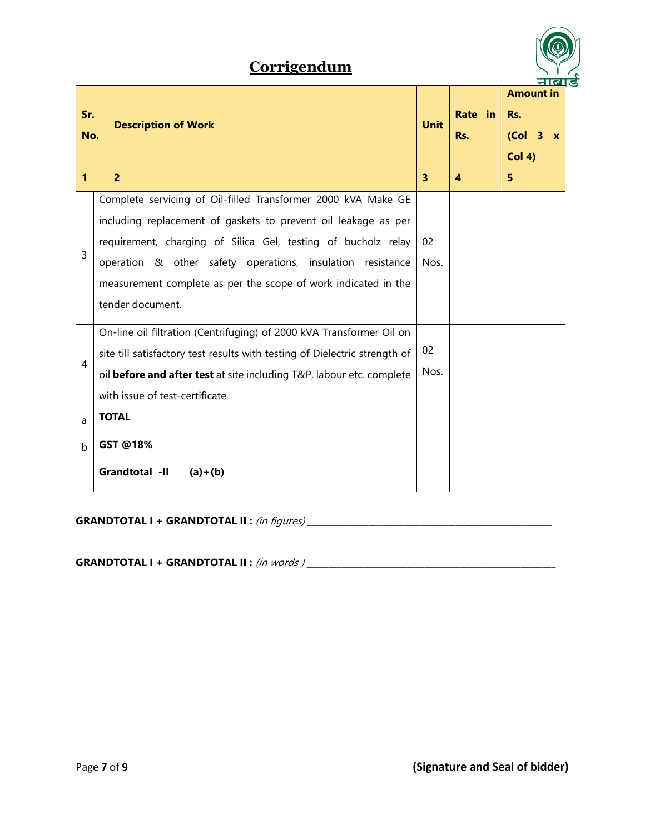

| Sr.<br>No.       | <b>Description of Work</b>                                                                                                                                                                                                                                                                                                                           | <b>Unit</b> | Rate in<br>Rs. | <b>Amount in</b><br>Rs.<br>(Col <sub>3</sub> x)<br>Col(4) |
|------------------|------------------------------------------------------------------------------------------------------------------------------------------------------------------------------------------------------------------------------------------------------------------------------------------------------------------------------------------------------|-------------|----------------|-----------------------------------------------------------|
| $\mathbf{1}$     | $\overline{2}$                                                                                                                                                                                                                                                                                                                                       | 3           | 4              | 5                                                         |
| 3                | Complete servicing of Oil-filled Transformer 2000 kVA Make GE<br>including replacement of gaskets to prevent oil leakage as per<br>requirement, charging of Silica Gel, testing of bucholz relay<br>operation & other safety operations, insulation resistance<br>measurement complete as per the scope of work indicated in the<br>tender document. | 02<br>Nos.  |                |                                                           |
| $\overline{4}$   | On-line oil filtration (Centrifuging) of 2000 kVA Transformer Oil on<br>site till satisfactory test results with testing of Dielectric strength of<br>oil before and after test at site including T&P, labour etc. complete<br>with issue of test-certificate                                                                                        | 02<br>Nos.  |                |                                                           |
| a<br>$\mathsf b$ | <b>TOTAL</b><br>GST @18%<br>Grandtotal -II<br>$(a)+(b)$                                                                                                                                                                                                                                                                                              |             |                |                                                           |

**GRANDTOTAL I + GRANDTOTAL II :** (in figures) \_\_\_\_\_\_\_\_\_\_\_\_\_\_\_\_\_\_\_\_\_\_\_\_\_\_\_\_\_\_\_\_\_\_\_\_\_\_\_\_\_\_\_\_\_\_\_\_\_\_\_\_\_\_\_\_

**GRANDTOTAL I + GRANDTOTAL II :** (in words ) \_\_\_\_\_\_\_\_\_\_\_\_\_\_\_\_\_\_\_\_\_\_\_\_\_\_\_\_\_\_\_\_\_\_\_\_\_\_\_\_\_\_\_\_\_\_\_\_\_\_\_\_\_\_\_\_\_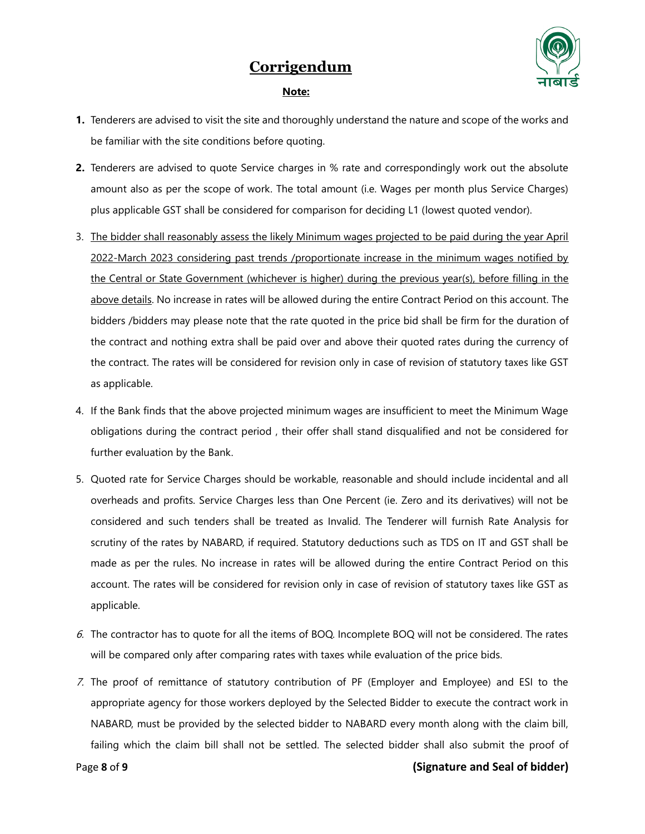

#### **Note:**

- **1.** Tenderers are advised to visit the site and thoroughly understand the nature and scope of the works and be familiar with the site conditions before quoting.
- **2.** Tenderers are advised to quote Service charges in % rate and correspondingly work out the absolute amount also as per the scope of work. The total amount (i.e. Wages per month plus Service Charges) plus applicable GST shall be considered for comparison for deciding L1 (lowest quoted vendor).
- 3. The bidder shall reasonably assess the likely Minimum wages projected to be paid during the year April 2022-March 2023 considering past trends /proportionate increase in the minimum wages notified by the Central or State Government (whichever is higher) during the previous year(s), before filling in the above details. No increase in rates will be allowed during the entire Contract Period on this account. The bidders /bidders may please note that the rate quoted in the price bid shall be firm for the duration of the contract and nothing extra shall be paid over and above their quoted rates during the currency of the contract. The rates will be considered for revision only in case of revision of statutory taxes like GST as applicable.
- 4. If the Bank finds that the above projected minimum wages are insufficient to meet the Minimum Wage obligations during the contract period , their offer shall stand disqualified and not be considered for further evaluation by the Bank.
- 5. Quoted rate for Service Charges should be workable, reasonable and should include incidental and all overheads and profits. Service Charges less than One Percent (ie. Zero and its derivatives) will not be considered and such tenders shall be treated as Invalid. The Tenderer will furnish Rate Analysis for scrutiny of the rates by NABARD, if required. Statutory deductions such as TDS on IT and GST shall be made as per the rules. No increase in rates will be allowed during the entire Contract Period on this account. The rates will be considered for revision only in case of revision of statutory taxes like GST as applicable.
- 6. The contractor has to quote for all the items of BOQ. Incomplete BOQ will not be considered. The rates will be compared only after comparing rates with taxes while evaluation of the price bids.
- 7. The proof of remittance of statutory contribution of PF (Employer and Employee) and ESI to the appropriate agency for those workers deployed by the Selected Bidder to execute the contract work in NABARD, must be provided by the selected bidder to NABARD every month along with the claim bill, failing which the claim bill shall not be settled. The selected bidder shall also submit the proof of